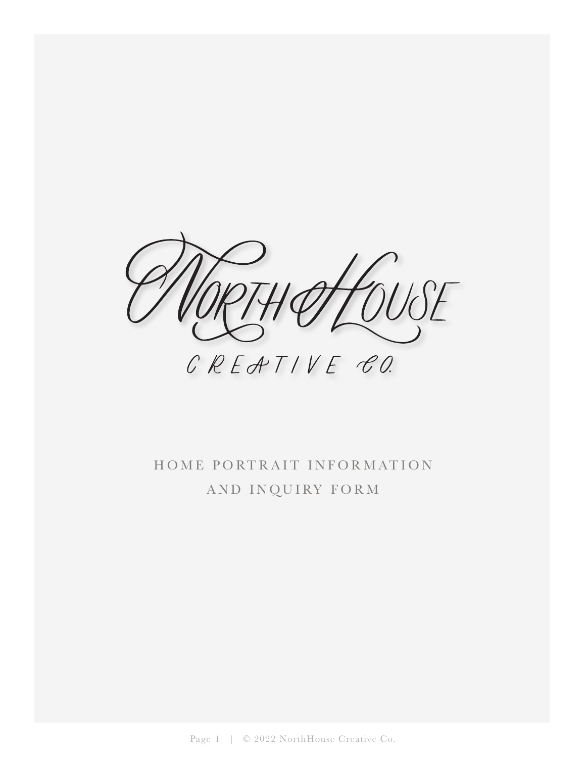

## HOME PORTRAIT INFORMATION AND INQUIRY FORM

Page 1 | © 2022 NorthHouse Creative Co.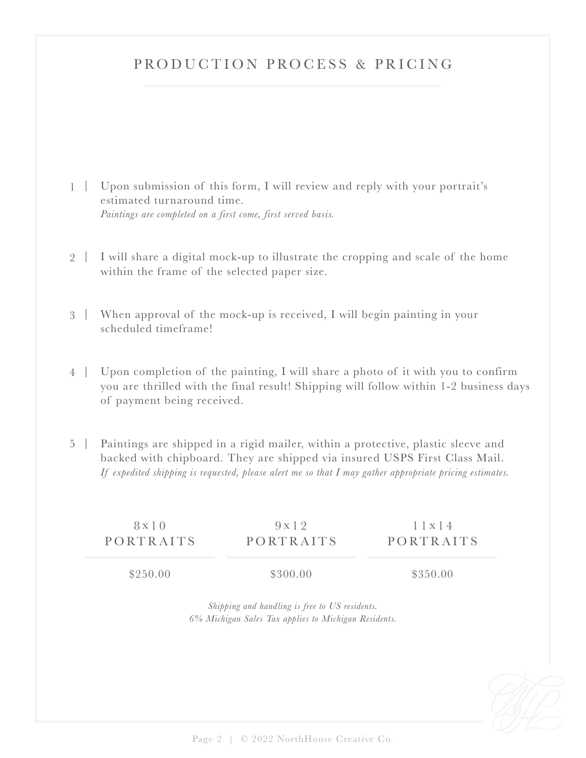## PRODUCTION PROCESS & PRICING

- 1 | Upon submission of this form, I will review and reply with your portrait's estimated turnaround time. *Paintings are completed on a first come, first served basis.*
- 2 | I will share a digital mock-up to illustrate the cropping and scale of the home within the frame of the selected paper size.
- When approval of the mock-up is received, I will begin painting in your 3 | scheduled timeframe!
- Upon completion of the painting, I will share a photo of it with you to confirm you are thrilled with the final result! Shipping will follow within 1-2 business days of payment being received. 4 |
- 5 | Paintings are shipped in a rigid mailer, within a protective, plastic sleeve and backed with chipboard. They are shipped via insured USPS First Class Mail. *If expedited shipping is requested, please alert me so that I may gather appropriate pricing estimates.*

| $8 \times 10$ | 9x12      | 1 x 14    |
|---------------|-----------|-----------|
| PORTRAITS     | PORTRAITS | PORTRAITS |
| \$250.00      | \$300.00  | \$350.00  |

*Shipping and handling is free to US residents. 6% Michigan Sales Tax applies to Michigan Residents.*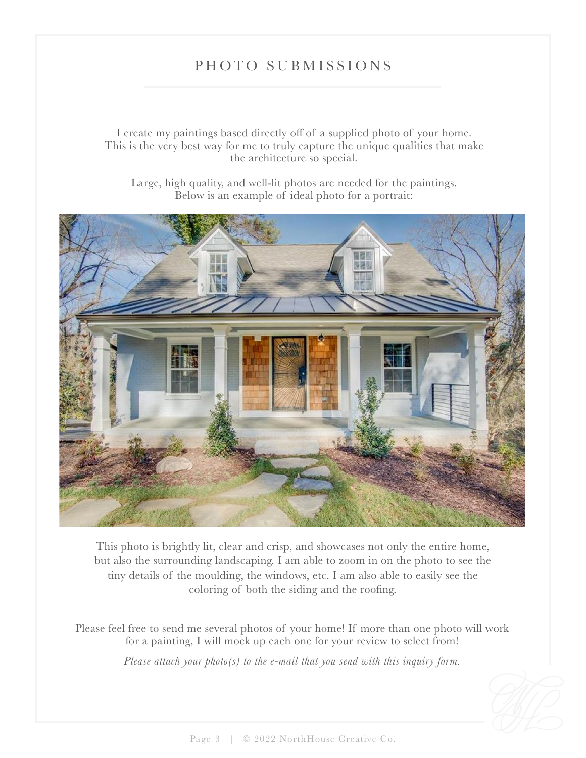## PHOTO SUBMISSIONS

I create my paintings based directly off of a supplied photo of your home. This is the very best way for me to truly capture the unique qualities that make the architecture so special.

Large, high quality, and well-lit photos are needed for the paintings. Below is an example of ideal photo for a portrait:



This photo is brightly lit, clear and crisp, and showcases not only the entire home, but also the surrounding landscaping. I am able to zoom in on the photo to see the tiny details of the moulding, the windows, etc. I am also able to easily see the coloring of both the siding and the roofing.

Please feel free to send me several photos of your home! If more than one photo will work for a painting, I will mock up each one for your review to select from!

*Please attach your photo(s) to the e-mail that you send with this inquiry form.*